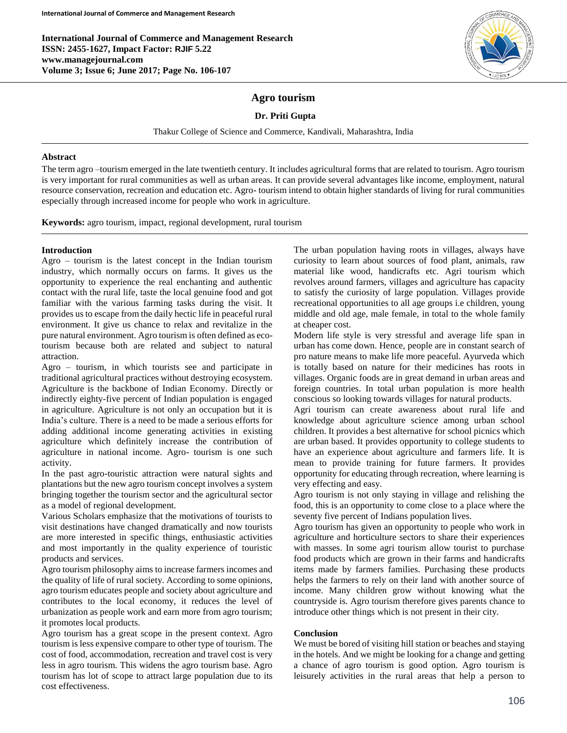**International Journal of Commerce and Management Research ISSN: 2455-1627, Impact Factor: RJIF 5.22 www.managejournal.com Volume 3; Issue 6; June 2017; Page No. 106-107**



## **Agro tourism**

### **Dr. Priti Gupta**

Thakur College of Science and Commerce, Kandivali, Maharashtra, India

#### **Abstract**

The term agro –tourism emerged in the late twentieth century. It includes agricultural forms that are related to tourism. Agro tourism is very important for rural communities as well as urban areas. It can provide several advantages like income, employment, natural resource conservation, recreation and education etc. Agro- tourism intend to obtain higher standards of living for rural communities especially through increased income for people who work in agriculture.

**Keywords:** agro tourism, impact, regional development, rural tourism

### **Introduction**

Agro – tourism is the latest concept in the Indian tourism industry, which normally occurs on farms. It gives us the opportunity to experience the real enchanting and authentic contact with the rural life, taste the local genuine food and got familiar with the various farming tasks during the visit. It provides us to escape from the daily hectic life in peaceful rural environment. It give us chance to relax and revitalize in the pure natural environment. Agro tourism is often defined as ecotourism because both are related and subject to natural attraction.

Agro – tourism, in which tourists see and participate in traditional agricultural practices without destroying ecosystem. Agriculture is the backbone of Indian Economy. Directly or indirectly eighty-five percent of Indian population is engaged in agriculture. Agriculture is not only an occupation but it is India's culture. There is a need to be made a serious efforts for adding additional income generating activities in existing agriculture which definitely increase the contribution of agriculture in national income. Agro- tourism is one such activity.

In the past agro-touristic attraction were natural sights and plantations but the new agro tourism concept involves a system bringing together the tourism sector and the agricultural sector as a model of regional development.

Various Scholars emphasize that the motivations of tourists to visit destinations have changed dramatically and now tourists are more interested in specific things, enthusiastic activities and most importantly in the quality experience of touristic products and services.

Agro tourism philosophy aims to increase farmers incomes and the quality of life of rural society. According to some opinions, agro tourism educates people and society about agriculture and contributes to the local economy, it reduces the level of urbanization as people work and earn more from agro tourism; it promotes local products.

Agro tourism has a great scope in the present context. Agro tourism is less expensive compare to other type of tourism. The cost of food, accommodation, recreation and travel cost is very less in agro tourism. This widens the agro tourism base. Agro tourism has lot of scope to attract large population due to its cost effectiveness.

The urban population having roots in villages, always have curiosity to learn about sources of food plant, animals, raw material like wood, handicrafts etc. Agri tourism which revolves around farmers, villages and agriculture has capacity to satisfy the curiosity of large population. Villages provide recreational opportunities to all age groups i.e children, young middle and old age, male female, in total to the whole family at cheaper cost.

Modern life style is very stressful and average life span in urban has come down. Hence, people are in constant search of pro nature means to make life more peaceful. Ayurveda which is totally based on nature for their medicines has roots in villages. Organic foods are in great demand in urban areas and foreign countries. In total urban population is more health conscious so looking towards villages for natural products.

Agri tourism can create awareness about rural life and knowledge about agriculture science among urban school children. It provides a best alternative for school picnics which are urban based. It provides opportunity to college students to have an experience about agriculture and farmers life. It is mean to provide training for future farmers. It provides opportunity for educating through recreation, where learning is very effecting and easy.

Agro tourism is not only staying in village and relishing the food, this is an opportunity to come close to a place where the seventy five percent of Indians population lives.

Agro tourism has given an opportunity to people who work in agriculture and horticulture sectors to share their experiences with masses. In some agri tourism allow tourist to purchase food products which are grown in their farms and handicrafts items made by farmers families. Purchasing these products helps the farmers to rely on their land with another source of income. Many children grow without knowing what the countryside is. Agro tourism therefore gives parents chance to introduce other things which is not present in their city.

#### **Conclusion**

We must be bored of visiting hill station or beaches and staying in the hotels. And we might be looking for a change and getting a chance of agro tourism is good option. Agro tourism is leisurely activities in the rural areas that help a person to